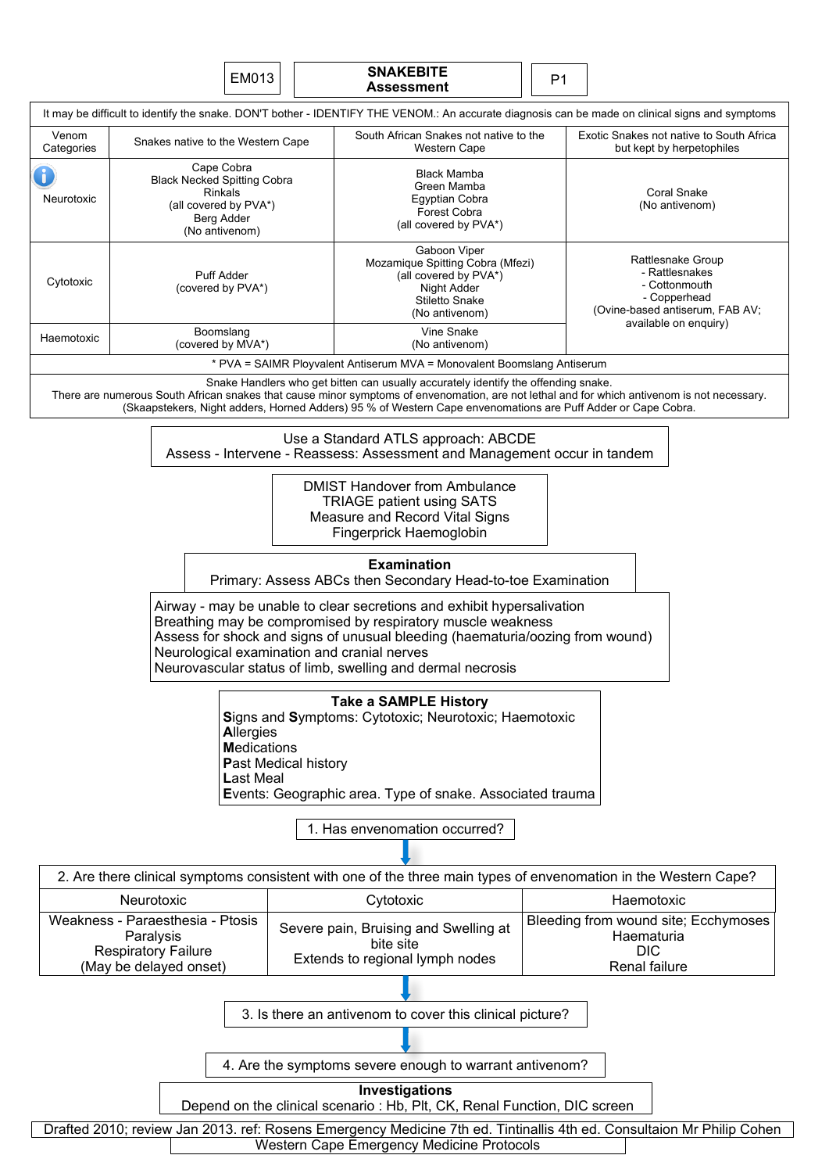|  | BITE<br>SNAP<br>ĸ.<br><b>Assessment</b> |  |
|--|-----------------------------------------|--|
|  |                                         |  |